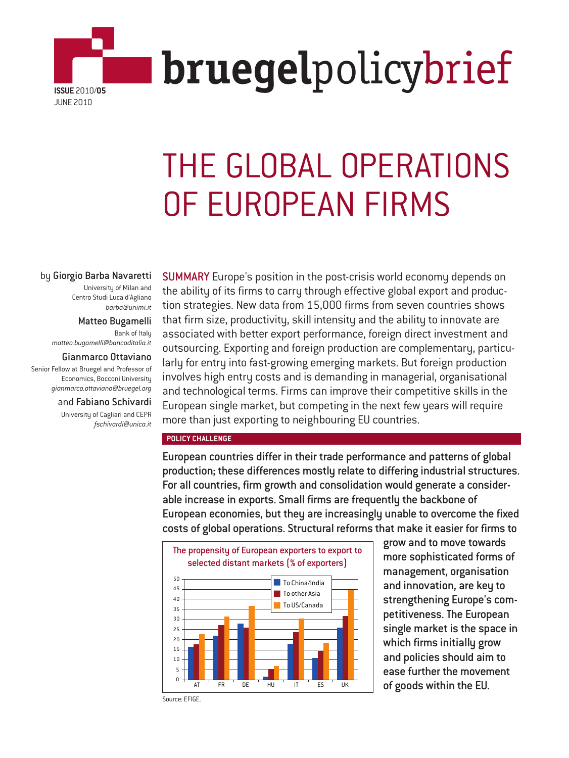

# THE GLOBAL OPERATIONS OF EUROPEAN FIRMS

#### by Giorgio Barba Navaretti

University of Milan and Centro Studi Luca d'Agliano *barba@unimi.it*

Matteo Bugamelli Bank of Italy *matteo.bugamelli@bancaditalia.it*

Gianmarco Ottaviano Senior Fellow at Bruegel and Professor of Economics, Bocconi University *gianmarco.ottaviano@bruegel.org*

> and Fabiano Schivardi University of Cagliari and CEPR *fschivardi@unica.it*

SUMMARY Europe's position in the post-crisis world economy depends on the ability of its firms to carry through effective global export and production strategies. New data from 15,000 firms from seven countries shows that firm size, productivity, skill intensity and the ability to innovate are associated with better export performance, foreign direct investment and outsourcing. Exporting and foreign production are complementary, particularly for entry into fast-growing emerging markets. But foreign production involves high entry costs and is demanding in managerial, organisational and technological terms. Firms can improve their competitive skills in the European single market, but competing in the next few years will require more than just exporting to neighbouring EU countries.

#### **POLICY CHALLENGE**

European countries differ in their trade performance and patterns of global production; these differences mostly relate to differing industrial structures. For all countries, firm growth and consolidation would generate a considerable increase in exports. Small firms are frequently the backbone of European economies, but they are increasingly unable to overcome the fixed costs of global operations. Structural reforms that make it easier for firms to



grow and to move towards more sophisticated forms of management, organisation and innovation, are key to strengthening Europe's competitiveness. The European single market is the space in which firms initially grow and policies should aim to ease further the movement

Source: EFIGE.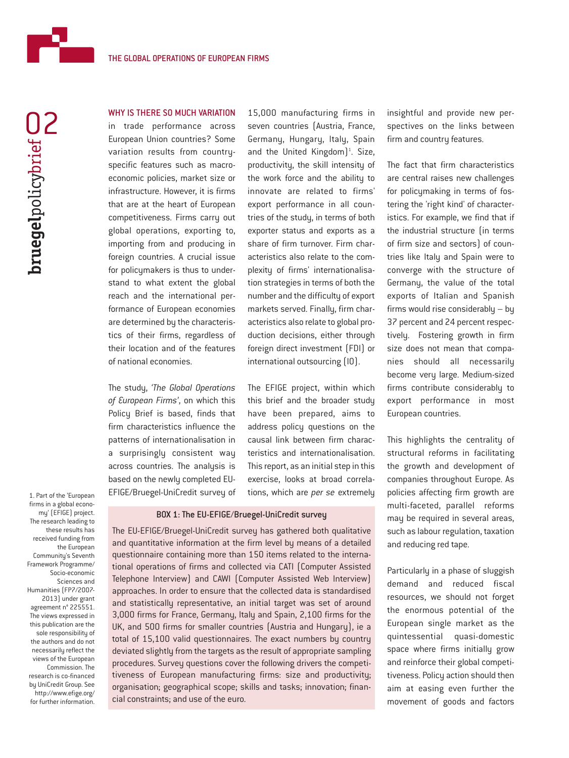

# WHY IS THERE SO MUCH VARIATION

in trade performance across European Union countries? Some variation results from countryspecific features such as macroeconomic policies, market size or infrastructure. However, it is firms that are at the heart of European competitiveness. Firms carry out global operations, exporting to, importing from and producing in foreign countries. A crucial issue for policymakers is thus to understand to what extent the global reach and the international performance of European economies are determined by the characteristics of their firms, regardless of their location and of the features of national economies.

The study, *'The Global Operations of European Firms'*, on which this Policy Brief is based, finds that firm characteristics influence the patterns of internationalisation in a surprisingly consistent way across countries. The analysis is based on the newly completed EU-EFIGE/Bruegel-UniCredit survey of

15,000 manufacturing firms in seven countries (Austria, France, Germany, Hungary, Italy, Spain and the United Kingdom)<sup>1</sup>. Size, productivity, the skill intensity of the work force and the ability to innovate are related to firms' export performance in all countries of the study, in terms of both exporter status and exports as a share of firm turnover. Firm characteristics also relate to the complexity of firms' internationalisation strategies in terms of both the number and the difficulty of export markets served. Finally, firm characteristics also relate to global production decisions, either through foreign direct investment (FDI) or international outsourcing (IO).

The EFIGE project, within which this brief and the broader study have been prepared, aims to address policy questions on the causal link between firm characteristics and internationalisation. This report, as an initial step in this exercise, looks at broad correlations, which are *per se* extremely

#### BOX 1: The EU-EFIGE/Bruegel-UniCredit survey

The EU-EFIGE/Bruegel-UniCredit survey has gathered both qualitative and quantitative information at the firm level by means of a detailed questionnaire containing more than 150 items related to the international operations of firms and collected via CATI (Computer Assisted Telephone Interview) and CAWI (Computer Assisted Web Interview) approaches. In order to ensure that the collected data is standardised and statistically representative, an initial target was set of around 3,000 firms for France, Germany, Italy and Spain, 2,100 firms for the UK, and 500 firms for smaller countries (Austria and Hungary), ie a total of 15,100 valid questionnaires. The exact numbers by country deviated slightly from the targets as the result of appropriate sampling procedures. Survey questions cover the following drivers the competitiveness of European manufacturing firms: size and productivity; organisation; geographical scope; skills and tasks; innovation; financial constraints; and use of the euro.

insightful and provide new perspectives on the links between firm and country features.

The fact that firm characteristics are central raises new challenges for policymaking in terms of fostering the 'right kind' of characteristics. For example, we find that if the industrial structure (in terms of firm size and sectors) of countries like Italy and Spain were to converge with the structure of Germany, the value of the total exports of Italian and Spanish firms would rise considerably – by 37 percent and 24 percent respectively. Fostering growth in firm size does not mean that companies should all necessarily become very large. Medium-sized firms contribute considerably to export performance in most European countries.

This highlights the centrality of structural reforms in facilitating the growth and development of companies throughout Europe. As policies affecting firm growth are multi-faceted, parallel reforms may be required in several areas, such as labour regulation, taxation and reducing red tape.

Particularly in a phase of sluggish demand and reduced fiscal resources, we should not forget the enormous potential of the European single market as the quintessential quasi-domestic space where firms initially grow and reinforce their global competitiveness. Policy action should then aim at easing even further the movement of goods and factors

firms in a global economy' (EFIGE) project. The research leading to these results has received funding from the European Community's Seventh Framework Programme/ Socio-economic Sciences and Humanities (FP7/2007- 2013) under grant agreement n° 225551. The views expressed in this publication are the sole responsibility of the authors and do not necessarily reflect the views of the European Commission. The research is co-financed by UniCredit Group. See http://www.efige.org/

for further information.

1. Part of the 'European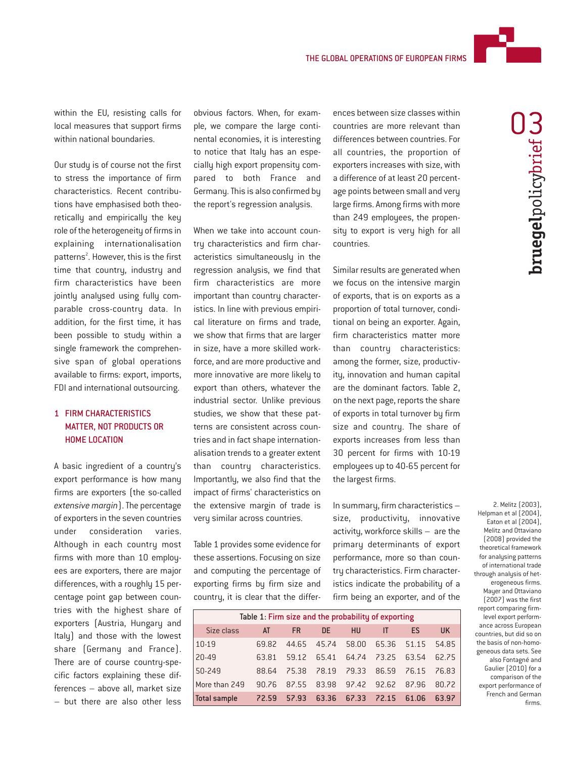

**bruegel**policybrief **bruegel**policybrief **W** 

within the EU, resisting calls for local measures that support firms within national boundaries.

Our study is of course not the first to stress the importance of firm characteristics. Recent contributions have emphasised both theoretically and empirically the key role of the heterogeneity of firms in explaining internationalisation patterns<sup>2</sup>. However, this is the first time that country, industry and firm characteristics have been jointly analysed using fully comparable cross-country data. In addition, for the first time, it has been possible to study within a single framework the comprehensive span of global operations available to firms: export, imports, FDI and international outsourcing.

# 1 FIRM CHARACTERISTICS MATTER, NOT PRODUCTS OR HOME LOCATION

A basic ingredient of a country's export performance is how many firms are exporters (the so-called *extensive margin*). The percentage of exporters in the seven countries under consideration varies. Although in each country most firms with more than 10 employees are exporters, there are major differences, with a roughly 15 percentage point gap between countries with the highest share of exporters (Austria, Hungary and Italy) and those with the lowest share (Germany and France). There are of course country-specific factors explaining these differences – above all, market size – but there are also other less

obvious factors. When, for example, we compare the large continental economies, it is interesting to notice that Italy has an especially high export propensity compared to both France and Germany. This is also confirmed by the report's regression analysis.

When we take into account country characteristics and firm characteristics simultaneously in the regression analysis, we find that firm characteristics are more important than country characteristics. In line with previous empirical literature on firms and trade, we show that firms that are larger in size, have a more skilled workforce, and are more productive and more innovative are more likely to export than others, whatever the industrial sector. Unlike previous studies, we show that these patterns are consistent across countries and in fact shape internationalisation trends to a greater extent than country characteristics. Importantly, we also find that the impact of firms' characteristics on the extensive margin of trade is very similar across countries.

Table 1 provides some evidence for these assertions. Focusing on size and computing the percentage of exporting firms by firm size and country, it is clear that the differences between size classes within countries are more relevant than differences between countries. For all countries, the proportion of exporters increases with size, with a difference of at least 20 percentage points between small and very large firms. Among firms with more than 249 employees, the propensity to export is very high for all countries.

Similar results are generated when we focus on the intensive margin of exports, that is on exports as a proportion of total turnover, conditional on being an exporter. Again, firm characteristics matter more than country characteristics: among the former, size, productivity, innovation and human capital are the dominant factors. Table 2, on the next page, reports the share of exports in total turnover by firm size and country. The share of exports increases from less than 30 percent for firms with 10-19 employees up to 40-65 percent for the largest firms.

In summary, firm characteristics – size, productivity, innovative activity, workforce skills – are the primary determinants of export performance, more so than country characteristics. Firm characteristics indicate the probability of a firm being an exporter, and of the

| Table 1: Firm size and the probability of exporting |       |           |       |                   |                               |                   |       |
|-----------------------------------------------------|-------|-----------|-------|-------------------|-------------------------------|-------------------|-------|
| Size class                                          | AT    | <b>FR</b> | DE.   | <b>HU</b>         | IT                            | ES.               | UK.   |
| 10-19                                               | 69.82 | 44.65     |       | 45.74 58.00       |                               | 65.36 51.15 54.85 |       |
| 20-49                                               | 63.81 | 59.12     | 65.41 |                   | 64.74 73.25                   | 63.54             | 62.75 |
| 50-249                                              | 88.64 | 75.38     |       |                   | 78.19 79.33 86.59 76.15 76.83 |                   |       |
| More than 249                                       | 90.76 | 87.55     |       |                   | 83.98 97.42 92.62             | 87.96             | 80.72 |
| Total sample                                        | 72.59 | 57.93     |       | 63.36 67.33 72.15 |                               | 61.06             | 63.97 |

2. Melitz (2003), Helpman et al (2004), Eaton et al (2004), Melitz and Ottaviano (2008) provided the theoretical framework for analysing patterns of international trade through analysis of heterogeneous firms. Mayer and Ottaviano (2007) was the first report comparing firmlevel export performance across European countries, but did so on the basis of non-homogeneous data sets. See also Fontagné and Gaulier (2010) for a comparison of the export performance of French and German firms.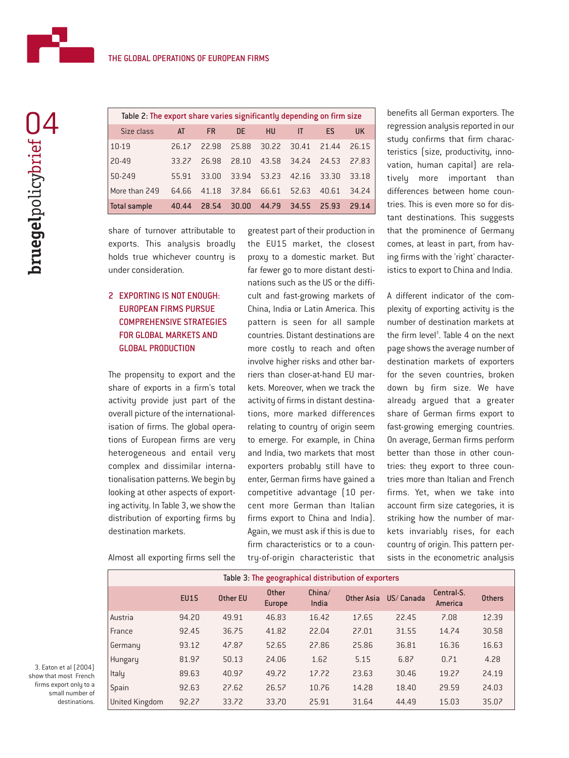

| Table 2: The export share varies significantly depending on firm size |       |           |           |       |       |           |       |
|-----------------------------------------------------------------------|-------|-----------|-----------|-------|-------|-----------|-------|
| Size class                                                            | AT    | <b>FR</b> | <b>DF</b> | HU    | ΙT    | <b>FS</b> | UK.   |
| 10-19                                                                 | 26.12 | 22.98     | 25.88     | 30.22 | 30.41 | 21.44     | 26.15 |
| 20-49                                                                 | 33.22 | 26.98     | 28.10     | 43.58 | 34.24 | 24.53     | 27.83 |
| 50-249                                                                | 55.91 | 33.00     | 33.94     | 53.23 | 42.16 | 33.30     | 33.18 |
| More than 249                                                         | 64.66 | 41.18     | 37.84     | 66.61 | 52.63 | 40.61     | 34.24 |
| <b>Total sample</b>                                                   | 40.44 | 28.54     | 30.00     | 44.79 | 34.55 | 25.93     | 29.14 |

share of turnover attributable to exports. This analysis broadly holds true whichever country is under consideration.

# 2 EXPORTING IS NOT ENOUGH: EUROPEAN FIRMS PURSUE COMPREHENSIVE STRATEGIES FOR GLOBAL MARKETS AND GLOBAL PRODUCTION

The propensity to export and the share of exports in a firm's total activity provide just part of the overall picture of the internationalisation of firms. The global operations of European firms are very heterogeneous and entail very complex and dissimilar internationalisation patterns. We begin by looking at other aspects of exporting activity. In Table 3, we show the distribution of exporting firms by destination markets.

Almost all exporting firms sell the

greatest part of their production in the EU15 market, the closest proxy to a domestic market. But far fewer go to more distant destinations such as the US or the difficult and fast-growing markets of China, India or Latin America. This pattern is seen for all sample countries. Distant destinations are more costly to reach and often involve higher risks and other barriers than closer-at-hand EU markets. Moreover, when we track the activity of firms in distant destinations, more marked differences relating to country of origin seem to emerge. For example, in China and India, two markets that most exporters probably still have to enter, German firms have gained a competitive advantage (10 percent more German than Italian firms export to China and India). Again, we must ask if this is due to firm characteristics or to a country-of-origin characteristic that benefits all German exporters. The regression analysis reported in our study confirms that firm characteristics (size, productivity, innovation, human capital) are relatively more important than differences between home countries. This is even more so for distant destinations. This suggests that the prominence of Germany comes, at least in part, from having firms with the 'right' characteristics to export to China and India.

A different indicator of the complexity of exporting activity is the number of destination markets at the firm level<sup>3</sup>. Table 4 on the next page shows the average number of destination markets of exporters for the seven countries, broken down by firm size. We have already argued that a greater share of German firms export to fast-growing emerging countries. On average, German firms perform better than those in other countries: they export to three countries more than Italian and French firms. Yet, when we take into account firm size categories, it is striking how the number of markets invariably rises, for each country of origin. This pattern persists in the econometric analysis

| Table 3: The geographical distribution of exporters |             |                 |                        |                 |            |           |                       |               |
|-----------------------------------------------------|-------------|-----------------|------------------------|-----------------|------------|-----------|-----------------------|---------------|
|                                                     | <b>EU15</b> | <b>Other EU</b> | <b>Other</b><br>Europe | China/<br>India | Other Asia | US/Canada | Central-S.<br>America | <b>Others</b> |
| Austria                                             | 94.20       | 49.91           | 46.83                  | 16.42           | 17.65      | 22.45     | 7.08                  | 12.39         |
| France                                              | 92.45       | 36.75           | 41.82                  | 22.04           | 27.01      | 31.55     | 14.74                 | 30.58         |
| Germany                                             | 93.12       | 47.87           | 52.65                  | 27.86           | 25.86      | 36.81     | 16.36                 | 16.63         |
| Hungary                                             | 81.97       | 50.13           | 24.06                  | 1.62            | 5.15       | 6.87      | 0.71                  | 4.28          |
| Italy                                               | 89.63       | 40.97           | 49.72                  | 17.72           | 23.63      | 30.46     | 19.27                 | 24.19         |
| Spain                                               | 92.63       | 27.62           | 26.57                  | 10.76           | 14.28      | 18.40     | 29.59                 | 24.03         |
| United Kingdom                                      | 92.27       | 33.72           | 33.70                  | 25.91           | 31.64      | 44.49     | 15.03                 | 35.07         |

3. Eaton et al (2004) show that most French firms export only to a small number of destinations.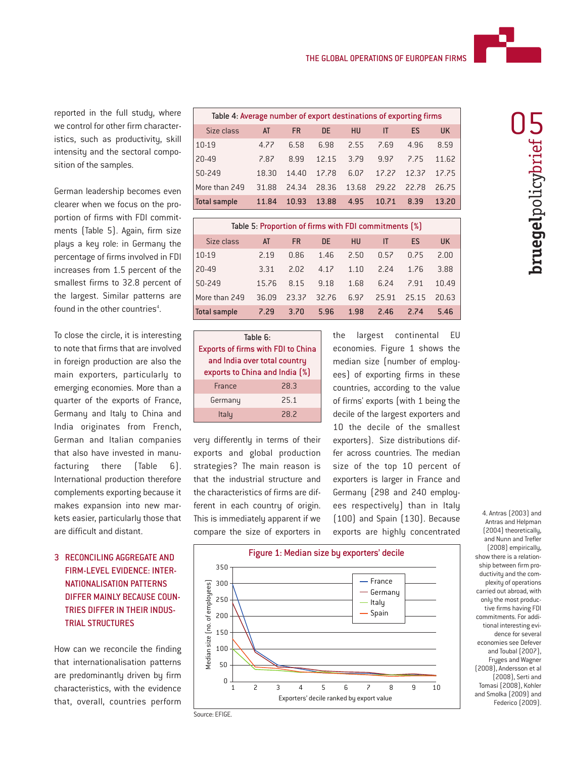

reported in the full study, where we control for other firm characteristics, such as productivitu, skill intensity and the sectoral composition of the samples.

German leadership becomes even clearer when we focus on the proportion of firms with FDI commitments (Table 5). Again, firm size plays a key role: in Germany the percentage of firms involved in FDI increases from 1.5 percent of the smallest firms to 32.8 percent of the largest. Similar patterns are found in the other countries<sup>4</sup>.

To close the circle, it is interesting to note that firms that are involved in foreign production are also the main exporters, particularly to emerging economies. More than a quarter of the exports of France, Germany and Italy to China and India originates from French, German and Italian companies that also have invested in manufacturing there (Table 6). International production therefore complements exporting because it makes expansion into new markets easier, particularly those that are difficult and distant.

# 3 RECONCILING AGGREGATE AND FIRM-LEVEL EVIDENCE: INTER-NATIONALISATION PATTERNS DIFFER MAINLY BECAUSE COUN-TRIES DIFFER IN THEIR INDUS-TRIAL STRUCTURES

How can we reconcile the finding that internationalisation patterns are predominantly driven by firm characteristics, with the evidence that, overall, countries perform

| Table 4: Average number of export destinations of exporting firms |       |           |       |       |       |       |           |
|-------------------------------------------------------------------|-------|-----------|-------|-------|-------|-------|-----------|
| Size class                                                        | AT    | <b>FR</b> | DE.   | HU    | ΙT    | ES    | <b>UK</b> |
| 10-19                                                             | 4.77  | 6.58      | 6.98  | 2.55  | 7.69  | 4.96  | 8.59      |
| 20-49                                                             | 7.87  | 8.99      | 12.15 | 3.79  | 9.97  | 2.25  | 11.62     |
| 50-249                                                            | 18.30 | 14 40     | 17.78 | 6.07  | 17.27 | 12.32 | 17.75     |
| More than 249                                                     | 31.88 | 24.34     | 28.36 | 13.68 | 29.22 | 22.78 | 26.75     |
| <b>Total sample</b>                                               | 11.84 | 10.93     | 13.88 | 4.95  | 10.71 | 8.39  | 13.20     |

| Table 5: Proportion of firms with FDI commitments [%] |       |           |       |           |       |       |       |
|-------------------------------------------------------|-------|-----------|-------|-----------|-------|-------|-------|
| Size class                                            | AT    | <b>FR</b> | DE.   | <b>HU</b> | IT    | ES    | UK.   |
| 10-19                                                 | 2.19  | 0.86      | 1.46  | 2.50      | 0.57  | 0.75  | 2.00  |
| 20-49                                                 | 3.31  | 2.02      | 4.17  | 1.10      | 2.24  | 1.76  | 3.88  |
| 50-249                                                | 15.76 | 8.15      | 9.18  | 1.68      | 6.24  | 791   | 10.49 |
| More than 249                                         | 36.09 | 23.32     | 32.76 | 6.97      | 25.91 | 25.15 | 20.63 |
| <b>Total sample</b>                                   | 7.29  | 3.70      | 5.96  | 1.98      | 2.46  | 2.74  | 5.46  |

| Table $6:$                                |      |  |  |  |
|-------------------------------------------|------|--|--|--|
| <b>Exports of firms with FDI to China</b> |      |  |  |  |
| and India over total country              |      |  |  |  |
| exports to China and India [%]            |      |  |  |  |
| France                                    | 28.3 |  |  |  |
| Germany                                   | 25.1 |  |  |  |
| Italu                                     | 28.2 |  |  |  |

very differently in terms of their exports and global production strategies? The main reason is that the industrial structure and the characteristics of firms are different in each country of origin. This is immediately apparent if we compare the size of exporters in the largest continental EU economies. Figure 1 shows the median size (number of employees) of exporting firms in these countries, according to the value of firms' exports (with 1 being the decile of the largest exporters and 10 the decile of the smallest exporters). Size distributions differ across countries. The median size of the top 10 percent of exporters is larger in France and Germany (298 and 240 employees respectively) than in Italy (100) and Spain (130). Because exports are highly concentrated



Antras and Helpman (2004) theoretically, and Nunn and Trefler (2008) empirically, show there is a relationship between firm productivity and the complexity of operations carried out abroad, with only the most productive firms having FDI commitments. For additional interesting evidence for several economies see Defever and Toubal (2007), Fryges and Wagner (2008), Andersson et al (2008), Serti and Tomasi (2008), Kohler and Smolka (2009) and Federico (2009).

4. Antras (2003) and

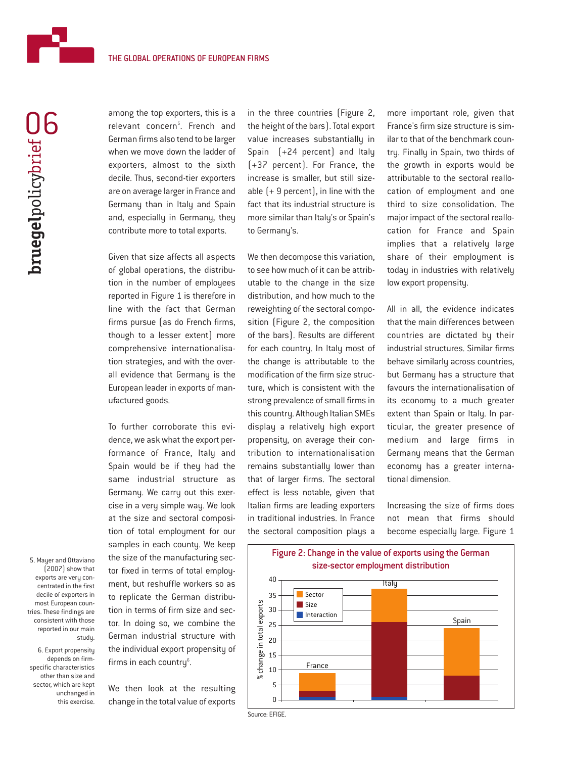

among the top exporters, this is a relevant concern<sup>s</sup>. French and German firms also tend to be larger when we move down the ladder of exporters, almost to the sixth decile. Thus, second-tier exporters are on average larger in France and Germany than in Italy and Spain and, especially in Germany, they contribute more to total exports.

Given that size affects all aspects of global operations, the distribution in the number of employees reported in Figure 1 is therefore in line with the fact that German firms pursue (as do French firms, though to a lesser extent) more comprehensive internationalisation strategies, and with the overall evidence that Germany is the European leader in exports of manufactured goods.

To further corroborate this evidence, we ask what the export performance of France, Italy and Spain would be if they had the same industrial structure as Germany. We carry out this exercise in a very simple way. We look at the size and sectoral composition of total employment for our samples in each county. We keep the size of the manufacturing sector fixed in terms of total employment, but reshuffle workers so as to replicate the German distribution in terms of firm size and sector. In doing so, we combine the German industrial structure with the individual export propensity of firms in each country<sup>6</sup>.

We then look at the resulting change in the total value of exports

in the three countries (Figure 2, the height of the bars). Total export value increases substantially in Spain (+24 percent) and Italy (+37 percent). For France, the increase is smaller, but still sizeable  $[+9$  percent), in line with the fact that its industrial structure is more similar than Italy's or Spain's to Germany's.

We then decompose this variation, to see how much of it can be attributable to the change in the size distribution, and how much to the reweighting of the sectoral composition (Figure 2, the composition of the bars). Results are different for each country. In Italy most of the change is attributable to the modification of the firm size structure, which is consistent with the strong prevalence of small firms in this country. Although Italian SMEs display a relatively high export propensity, on average their contribution to internationalisation remains substantially lower than that of larger firms. The sectoral effect is less notable, given that Italian firms are leading exporters in traditional industries. In France the sectoral composition plays a

more important role, given that France's firm size structure is similar to that of the benchmark country. Finally in Spain, two thirds of the growth in exports would be attributable to the sectoral reallocation of employment and one third to size consolidation. The major impact of the sectoral reallocation for France and Spain implies that a relatively large share of their employment is today in industries with relatively low export propensity.

All in all, the evidence indicates that the main differences between countries are dictated by their industrial structures. Similar firms behave similarly across countries, but Germany has a structure that favours the internationalisation of its economy to a much greater extent than Spain or Italy. In particular, the greater presence of medium and large firms in Germany means that the German economy has a greater international dimension.

Increasing the size of firms does not mean that firms should become especially large. Figure 1



Source: EFIGE.

5. Mayer and Ottaviano (2007) show that exports are very concentrated in the first decile of exporters in most European countries. These findings are consistent with those reported in our main study.

6. Export propensity depends on firmspecific characteristics other than size and sector, which are kept unchanged in this exercise.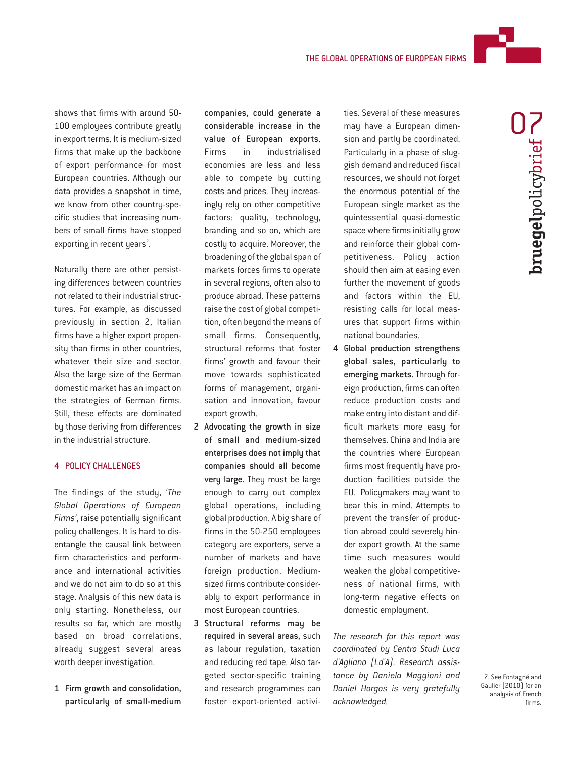

shows that firms with around 50- 100 employees contribute greatly in export terms. It is medium-sized firms that make up the backbone of export performance for most European countries. Although our data provides a snapshot in time, we know from other country-specific studies that increasing numbers of small firms have stopped exporting in recent years $^7$ .

Naturally there are other persisting differences between countries not related to their industrial structures. For example, as discussed previously in section 2, Italian firms have a higher export propensity than firms in other countries, whatever their size and sector. Also the large size of the German domestic market has an impact on the strategies of German firms. Still, these effects are dominated by those deriving from differences in the industrial structure.

### 4 POLICY CHALLENGES

The findings of the study, *'The Global Operations of European Firms'*, raise potentially significant policy challenges. It is hard to disentangle the causal link between firm characteristics and performance and international activities and we do not aim to do so at this stage. Analysis of this new data is only starting. Nonetheless, our results so far, which are mostly based on broad correlations, already suggest several areas worth deeper investigation.

1 Firm growth and consolidation, particularly of small-medium

companies, could generate a considerable increase in the value of European exports. Firms in industrialised economies are less and less able to compete by cutting costs and prices. They increasingly rely on other competitive factors: quality, technology, branding and so on, which are costly to acquire. Moreover, the broadening of the global span of markets forces firms to operate in several regions, often also to produce abroad. These patterns raise the cost of global competition, often beyond the means of small firms. Consequently, structural reforms that foster firms' growth and favour their move towards sophisticated forms of management, organisation and innovation, favour export growth.

- 2 Advocating the growth in size of small and medium-sized enterprises does not imply that companies should all become very large. They must be large enough to carry out complex global operations, including global production. A big share of firms in the 50-250 employees category are exporters, serve a number of markets and have foreign production. Mediumsized firms contribute considerably to export performance in most European countries.
- 3 Structural reforms may be required in several areas, such as labour regulation, taxation and reducing red tape. Also targeted sector-specific training and research programmes can foster export-oriented activi-

ties. Several of these measures may have a European dimension and partly be coordinated. Particularly in a phase of sluggish demand and reduced fiscal resources, we should not forget the enormous potential of the European single market as the quintessential quasi-domestic space where firms initially grow and reinforce their global competitiveness. Policy action should then aim at easing even further the movement of goods and factors within the EU, resisting calls for local measures that support firms within national boundaries.

4 Global production strengthens global sales, particularly to emerging markets. Through foreign production, firms can often reduce production costs and make entry into distant and difficult markets more easu for themselves. China and India are the countries where European firms most frequently have production facilities outside the EU. Policymakers may want to bear this in mind. Attempts to prevent the transfer of production abroad could severely hinder export growth. At the same time such measures would weaken the global competitiveness of national firms, with long-term negative effects on domestic employment.

*The research for this report was coordinated by Centro Studi Luca d'Agliano (Ld'A). Research assistance by Daniela Maggioni and Daniel Horgos is very gratefully acknowledged.*

7. See Fontagné and Gaulier (2010) for an analysis of French firms.